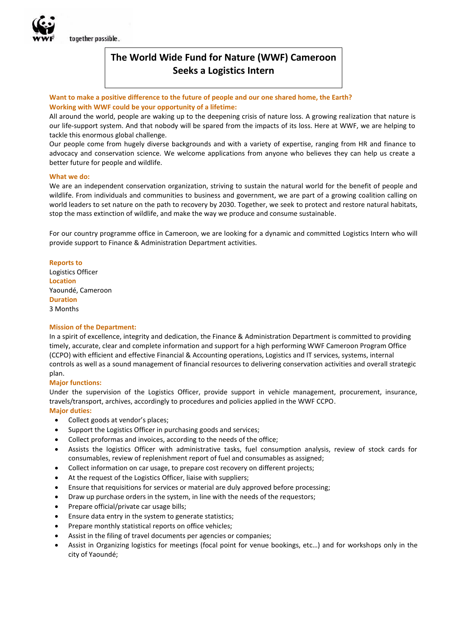together possible.

# **The World Wide Fund for Nature (WWF) Cameroon Seeks a Logistics Intern**

## **Want to make a positive difference to the future of people and our one shared home, the Earth? Working with WWF could be your opportunity of a lifetime:**

All around the world, people are waking up to the deepening crisis of nature loss. A growing realization that nature is our life-support system. And that nobody will be spared from the impacts of its loss. Here at WWF, we are helping to tackle this enormous global challenge.

Our people come from hugely diverse backgrounds and with a variety of expertise, ranging from HR and finance to advocacy and conservation science. We welcome applications from anyone who believes they can help us create a better future for people and wildlife.

## **What we do:**

We are an independent conservation organization, striving to sustain the natural world for the benefit of people and wildlife. From individuals and communities to business and government, we are part of a growing coalition calling on world leaders to set nature on the path to recovery by 2030. Together, we seek to protect and restore natural habitats, stop the mass extinction of wildlife, and make the way we produce and consume sustainable.

For our country programme office in Cameroon, we are looking for a dynamic and committed Logistics Intern who will provide support to Finance & Administration Department activities.

**Reports to** Logistics Officer **Location**  Yaoundé, Cameroon **Duration**  3 Months

## **Mission of the Department:**

In a spirit of excellence, integrity and dedication, the Finance & Administration Department is committed to providing timely, accurate, clear and complete information and support for a high performing WWF Cameroon Program Office (CCPO) with efficient and effective Financial & Accounting operations, Logistics and IT services, systems, internal controls as well as a sound management of financial resources to delivering conservation activities and overall strategic plan.

## **Major functions:**

Under the supervision of the Logistics Officer, provide support in vehicle management, procurement, insurance, travels/transport, archives, accordingly to procedures and policies applied in the WWF CCPO.

**Major duties:**

- Collect goods at vendor's places;
- Support the Logistics Officer in purchasing goods and services;
- Collect proformas and invoices, according to the needs of the office;
- Assists the logistics Officer with administrative tasks, fuel consumption analysis, review of stock cards for consumables, review of replenishment report of fuel and consumables as assigned;
- Collect information on car usage, to prepare cost recovery on different projects;
- At the request of the Logistics Officer, liaise with suppliers;
- Ensure that requisitions for services or material are duly approved before processing;
- Draw up purchase orders in the system, in line with the needs of the requestors;
- Prepare official/private car usage bills;
- Ensure data entry in the system to generate statistics;
- Prepare monthly statistical reports on office vehicles;
- Assist in the filing of travel documents per agencies or companies;
- Assist in Organizing logistics for meetings (focal point for venue bookings, etc…) and for workshops only in the city of Yaoundé;